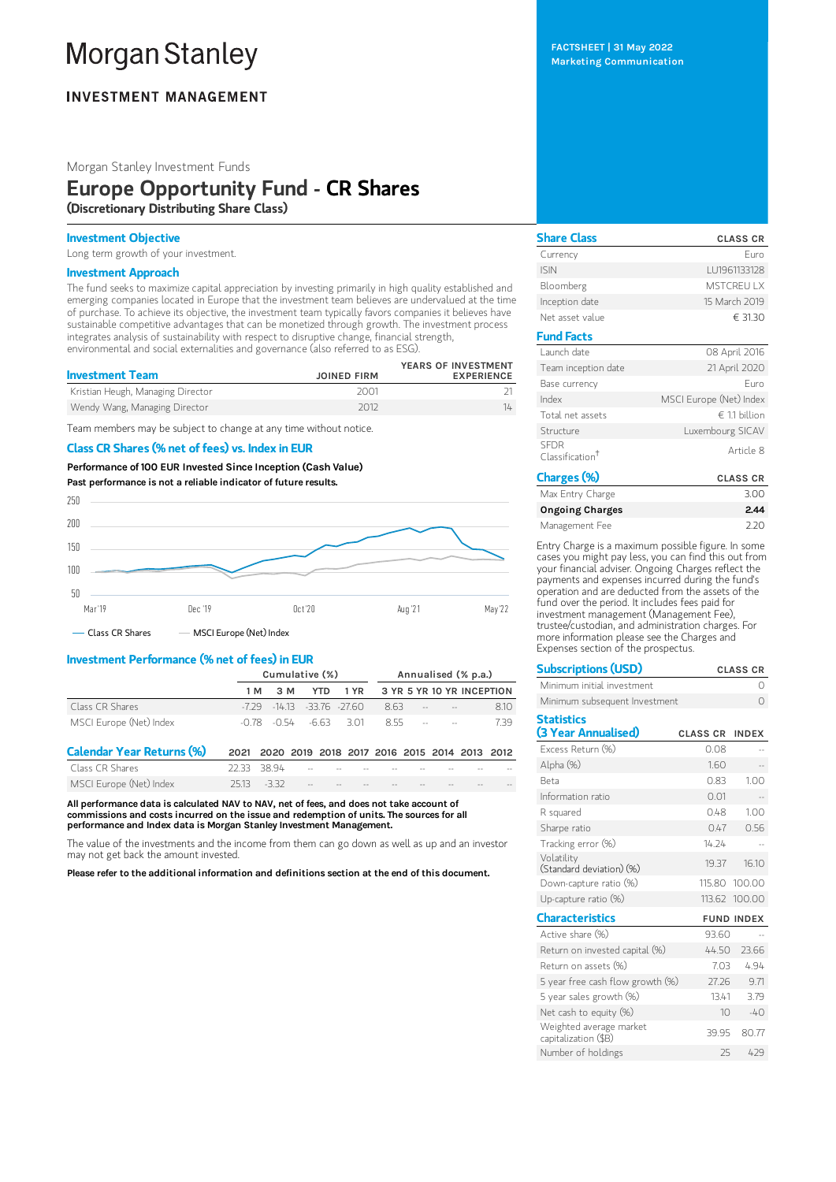# **Morgan Stanley**

# **INVESTMENT MANAGEMENT**

# Morgan Stanley Investment Funds

# Europe Opportunity Fund - CR Shares (Discretionary Distributing Share Class)

## Investment Objective

Long term growth of your investment.

# Investment Approach

The fund seeks to maximize capital appreciation by investing primarily in high quality established and emerging companies located in Europe that the investment team believes are undervalued at the time of purchase. To achieve its objective, the investment team typically favors companies it believes have sustainable competitive advantages that can be monetized through growth. The investment process integrates analysis of sustainability with respect to disruptive change, financial strength, environmental and social externalities and governance (also referred to as ESG).

| <b>Investment Team</b>            | <b>JOINED FIRM</b> | YEARS OF INVESTMENT<br><b>EXPERIENCE</b> |
|-----------------------------------|--------------------|------------------------------------------|
| Kristian Heugh, Managing Director | 2001               |                                          |
| Wendy Wang, Managing Director     | 2012               | 14                                       |

Team members may be subject to change at any time without notice.

#### Class CR Shares (% net of fees) vs. Index in EUR

Performance of100 EUR Invested Since Inception (Cash Value) Past performance is not a reliable indicator of future results.



# Investment Performance (% net of fees) in EUR

|                                  | Cumulative (%) |                                 |                            | Annualised (% p.a.)                          |     |  |     |                           |      |
|----------------------------------|----------------|---------------------------------|----------------------------|----------------------------------------------|-----|--|-----|---------------------------|------|
|                                  | 1 M            | 3 M                             | <b>YTD</b>                 | 1 YR                                         |     |  |     | 3 YR 5 YR 10 YR INCEPTION |      |
| Class CR Shares                  | -7 29          |                                 | $-14.13$ $-33.76$ $-27.60$ |                                              | 863 |  | $-$ |                           | 8.10 |
| MSCI Europe (Net) Index          |                | $-0.78$ $-0.54$ $-6.63$ $-3.01$ |                            |                                              | 855 |  |     |                           | 739  |
| <b>Calendar Year Returns (%)</b> | 2021           |                                 |                            | 2020 2019 2018 2017 2016 2015 2014 2013 2012 |     |  |     |                           |      |
| Class CR Shares                  |                | 38 94                           |                            |                                              |     |  |     |                           |      |

MSCI Europe (Net) Index 25.13 -3.32

All performance data is calculated NAV to NAV, net of fees, and does not take account of commissions and costs incurred on the issue and redemption of units. The sources for all performance and Index data is Morgan Stanley Investment Management.

The value of the investments and the income from them can go down as well as up and an investor may not get back the amount invested.

Please refer to the additional information and definitions section at the end of this document.

| <b>Share Class</b>                         | <b>CLASS CR</b>         |
|--------------------------------------------|-------------------------|
| Currency                                   | Furo                    |
| <b>ISIN</b>                                | LU1961133128            |
| Bloomberg                                  | <b>MSTCREUTX</b>        |
| Inception date                             | 15 March 2019           |
| Net asset value                            | € 31.30                 |
| <b>Fund Facts</b>                          |                         |
| Launch date                                | 08 April 2016           |
| Team inception date                        | 21 April 2020           |
| Base currency                              | Furo                    |
| Index                                      | MSCI Europe (Net) Index |
| Total net assets                           | $∈ 11$ billion          |
| Structure                                  | Luxembourg SICAV        |
| <b>SEDR</b><br>Classification <sup>†</sup> | Article 8               |
| Charcoc(0 <sub>k</sub> )                   | 0.180000                |

| Charges (%)            | <b>CLASS CR</b> |
|------------------------|-----------------|
| Max Entry Charge       | 3.00            |
| <b>Ongoing Charges</b> | 2.44            |
| Management Fee         | 220             |

Entry Charge is a maximum possible figure. In some cases you might pay less, you can find this out from your financial adviser. Ongoing Charges reflect the payments and expenses incurred during the fund's operation and are deducted from the assets of the fund over the period. It includes fees paid for investment management (Management Fee), trustee/custodian, and administration charges. For more information please see the Charges and Expenses section of the prospectus.

| <b>Subscriptions (USD)</b>                      |                 | <b>CLASS CR</b>   |
|-------------------------------------------------|-----------------|-------------------|
| Minimum initial investment                      |                 | Ω                 |
| Minimum subsequent Investment                   |                 | $\bigcap$         |
| <b>Statistics</b>                               |                 |                   |
| (3 Year Annualised)                             | <b>CLASS CR</b> | <b>INDEX</b>      |
| Excess Return (%)                               | 0.08            |                   |
| Alpha (%)                                       | 1.60            |                   |
| <b>Beta</b>                                     | 0.83            | 1.00              |
| Information ratio                               | 0.01            |                   |
| R squared                                       | 0.48            | 1.00              |
| Sharpe ratio                                    | 047             | 0.56              |
| Tracking error (%)                              | 14.24           |                   |
| Volatility<br>(Standard deviation) (%)          | 19.37           | 16.10             |
| Down-capture ratio (%)                          |                 | 115.80 100.00     |
| Up-capture ratio $(\%)$                         | 113.62          | 100.00            |
| <b>Characteristics</b>                          |                 | <b>FUND INDEX</b> |
| Active share (%)                                | 9360            |                   |
| Return on invested capital (%)                  | 44.50           | 23.66             |
| Return on assets (%)                            | 7.03            | 4.94              |
| 5 year free cash flow growth (%)                | 27.26           | 9.71              |
| 5 year sales growth (%)                         | 13.41           | 3.79              |
| Net cash to equity (%)                          | 10 <sup>1</sup> | $-40$             |
| Weighted average market<br>capitalization (\$B) | 39.95           | 80.77             |
| Number of holdings                              | 25              | 429               |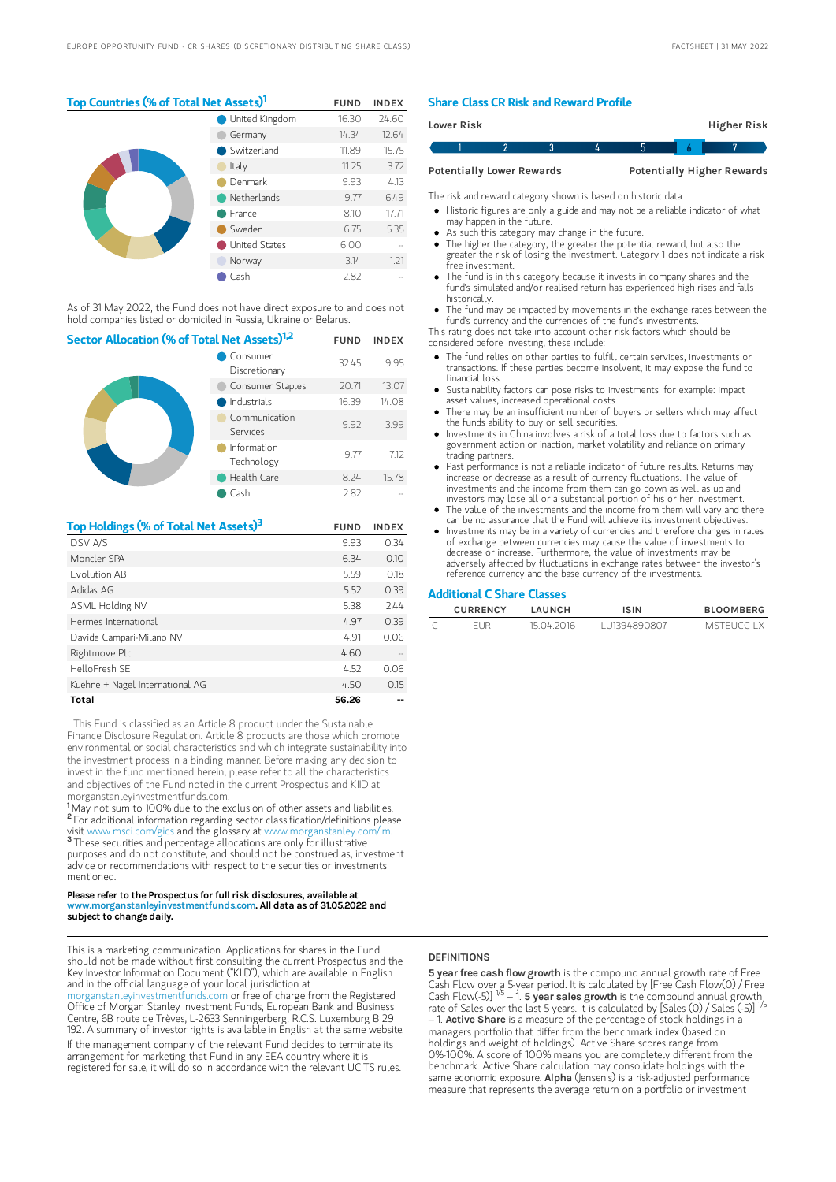# Top Countries (% of Total Net Assets)<sup>1</sup> FUND INDEX

|  | <b>United Kingdom</b> | 16.30 | 24.60 |
|--|-----------------------|-------|-------|
|  | Germany               | 14.34 | 12.64 |
|  | Switzerland           | 11.89 | 15.75 |
|  | Italy                 | 11.25 | 3.72  |
|  | Denmark               | 9.93  | 4.13  |
|  | Netherlands           | 9.77  | 6.49  |
|  | France                | 8.10  | 17.71 |
|  | Sweden                | 6.75  | 5.35  |
|  | United States         | 6.00  |       |
|  | Norway                | 3.14  | 1.21  |
|  | Cash                  | 2.82  |       |

As of 31 May 2022, the Fund does not have direct exposure to and does not hold companies listed or domiciled in Russia, Ukraine or Belarus.

| Sector Allocation (% of Total Net Assets) <sup>1,2</sup> |                           |       | <b>INDEX</b> |
|----------------------------------------------------------|---------------------------|-------|--------------|
|                                                          | Consumer<br>Discretionary | 32.45 | 9.95         |
|                                                          | Consumer Staples          | 20.71 | 13.07        |
|                                                          | Industrials               | 16.39 | 14.08        |
|                                                          | Communication<br>Services | 9.92  | 3.99         |
|                                                          | Information<br>Technology | 9.77  | 7.12         |
|                                                          | Health Care               | 8.24  | 15.78        |
|                                                          | Cash                      | 2.82  |              |

| Top Holdings (% of Total Net Assets) <sup>3</sup> | <b>FUND</b> | <b>INDEX</b> |
|---------------------------------------------------|-------------|--------------|
| DSV A/S                                           | 9.93        | 0.34         |
| Moncler SPA                                       | 6.34        | 0.10         |
| Fvolution AB                                      | 5.59        | 0.18         |
| Adidas AG                                         | 5.52        | 0.39         |
| ASML Holding NV                                   | 5.38        | 7.44         |
| Hermes International                              | 4.97        | 0.39         |
| Davide Campari-Milano NV                          | 4.91        | 0.06         |
| Rightmove Plc                                     | 4.60        |              |
| HelloFresh SF                                     | 4.52        | 0.06         |
| Kuehne + Nagel International AG                   | 4.50        | 0.15         |
| Total                                             | 56.26       |              |

<sup>†</sup> This Fund is classified as an Article 8 product under the Sustainable Finance Disclosure Regulation. Article 8 products are those which promote environmental or social characteristics and which integrate sustainability into the investment process in a binding manner. Before making any decision to invest in the fund mentioned herein, please refer to all the characteristics and objectives of the Fund noted in the current Prospectus and KIID at morganstanleyinvestmentfunds.com.

<sup>1</sup>May not sum to 100% due to the exclusion of other assets and liabilities. <sup>2</sup> For additional information regarding sector classification/definitions please visit www.msci.com/gics and the glossary at www.morganstanley.com/im. <sup>3</sup> These securities and percentage allocations are only for illustrative purposes and do not constitute, and should not be construed as, investment advice or recommendations with respect to the securities or investments mentioned.

#### Please refer to the Prospectus for full risk disclosures, available at w.morganstanleyinvestmentfunds.com. All data as of 31.05.2022 and subject to change daily.

This is a marketing communication. Applications for shares in the Fund should not be made without first consulting the current Prospectus and the Key Investor Information Document ("KIID"), which are available in English and in the official language of your local jurisdiction at

[morganstanleyinvestmentfunds.com](https://www.morganstanley.com/im/msinvf/index.html) or free of charge from the Registered Office of Morgan Stanley Investment Funds, European Bank and Business Centre, 6B route de Trèves, L-2633 Senningerberg, R.C.S. Luxemburg B 29 192. A summary of investor rights is available in English at the same website. If the management company of the relevant Fund decides to terminate its arrangement for marketing that Fund in any EEA country where it is registered for sale, it will do so in accordance with the relevant UCITS rules.

## Share Class CR Risk and Reward Profile

| <b>Lower Risk</b> |                                  |  |  | Higher Risk                       |  |
|-------------------|----------------------------------|--|--|-----------------------------------|--|
|                   |                                  |  |  |                                   |  |
|                   | <b>Potentially Lower Rewards</b> |  |  | <b>Potentially Higher Rewards</b> |  |

The risk and reward category shown is based on historic data.

Historic figures are only a guide and may not be a reliable indicator of what

- may happen in the future. As such this category may change in the future.
- The higher the category, the greater the potential reward, but also the
- greater the risk of losing the investment. Category 1 does not indicate a risk free investment.
- The fund is in this category because it invests in company shares and the fund's simulated and/or realised return has experienced high rises and falls historically.
- The fund may be impacted by movements in the exchange rates between the fund's currency and the currencies of the fund's investments.

This rating does not take into account other risk factors which should be considered before investing, these include:

- The fund relies on other parties to fulfill certain services, investments or transactions. If these parties become insolvent, it may expose the fund to financial loss.
- Sustainability factors can pose risks to investments, for example: impact asset values, increased operational costs.
- There may be an insufficient number of buyers or sellers which may affect the funds ability to buy or sell securities.
- Investments in China involves a risk of a total loss due to factors such as government action or inaction, market volatility and reliance on primary trading partners.
- Past performance is not a reliable indicator of future results. Returns may increase or decrease as a result of currency fluctuations. The value of investments and the income from them can go down as well as up and investors may lose all or a substantial portion of his or her investment.
- The value of the investments and the income from them will vary and there can be no assurance that the Fund will achieve its investment objectives.
- Investments may be in a variety of currencies and therefore changes in rates of exchange between currencies may cause the value of investments to decrease or increase. Furthermore, the value of investments may be adversely affected by fluctuations in exchange rates between the investor's reference currency and the base currency of the investments.

#### Additional C Share Classes

| <b>CURRENCY</b> | LAUNCH     | <b>ISIN</b>  | <b>BLOOMBERG</b> |
|-----------------|------------|--------------|------------------|
| FI IR           | 15 04 2016 | 111394890807 | MSTELICC LX      |

#### **DEFINITIONS**

5 year free cash flow growth is the compound annual growth rate of Free Cash Flow over a 5-year period. It is calculated by [Free Cash Flow(0) / Free<br>Cash Flow(-5)] <sup>1/5</sup> – 1. **5 year saIes growth** is the compound annual growth\_ rate of Sales over the last 5 years. It is calculated by [Sales (0) / Sales (-5)]<br>– 1. **Active Share** is a measure of the percentage of stock holdings in a managers portfolio that differ from the benchmark index (based on holdings and weight of holdings). Active Share scores range from 0%-100%. A score of 100% means you are completely different from the benchmark. Active Share calculation may consolidate holdings with the<br>same economic exposure. **AIpha** (Jensen's) is a risk-adjusted performance measure that represents the average return on a portfolio or investment 1/5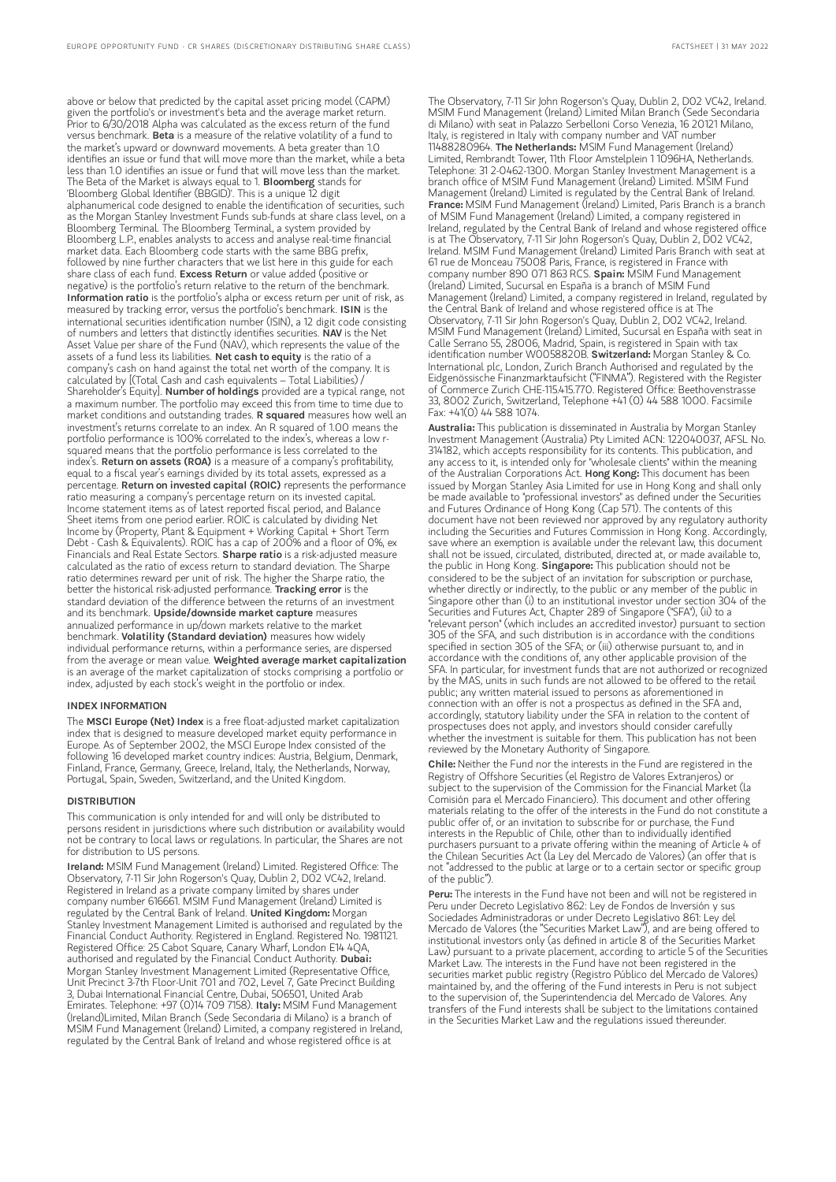above or below that predicted by the capital asset pricing model (CAPM) given the portfolio's or investment's beta and the average market return. Prior to 6/30/2018 Alpha was calculated as the excess return of the fund versus benchmark. Beta is a measure of the relative volatility of a fund to the market's upward or downward movements. A beta greater than 1.0 identifies an issue or fund that will move more than the market, while a beta less than 1.0 identifies an issue or fund that will move less than the market. The Beta of the Market is always equal to 1. Bloomberg stands for 'Bloomberg Global Identifier (BBGID)'. This is a unique 12 digit alphanumerical code designed to enable the identification of securities, such as the Morgan Stanley Investment Funds sub-funds at share class level, on a Bloomberg Terminal. The Bloomberg Terminal, a system provided by Bloomberg L.P., enables analysts to access and analyse real-time financial market data. Each Bloomberg code starts with the same BBG prefix, followed by nine further characters that we list here in this guide for each share class of each fund. Excess Return or value added (positive or negative) is the portfolio's return relative to the return of the benchmark. Information ratio is the portfolio's alpha or excess return per unit of risk, as measured by tracking error, versus the portfolio's benchmark. ISIN is the international securities identification number (ISIN), a 12 digit code consisting of numbers and letters that distinctly identifies securities. NAV is the Net Asset Value per share of the Fund (NAV), which represents the value of the assets of a fund less its liabilities. Net cash to equity is the ratio of a company's cash on hand against the total net worth of the company. It is calculated by [(Total Cash and cash equivalents – Total Liabilities) / Shareholder's Equity]. Number of holdings provided are a typical range, not a maximum number. The portfolio may exceed this from time to time due to market conditions and outstanding trades. R squared measures how well an investment's returns correlate to an index. An R squared of 1.00 means the portfolio performance is 100% correlated to the index's, whereas a low rsquared means that the portfolio performance is less correlated to the index's. Return on assets (ROA) is a measure of a company's profitability, equal to a fiscal year's earnings divided by its total assets, expressed as a percentage. Return on invested capital (ROIC) represents the performance ratio measuring a company's percentage return on its invested capital. Income statement items as of latest reported fiscal period, and Balance Sheet items from one period earlier. ROIC is calculated by dividing Net Income by (Property, Plant & Equipment + Working Capital + Short Term Debt - Cash & Equivalents). ROIC has a cap of 200% and a floor of 0%, ex Financials and Real Estate Sectors. Sharpe ratio is a risk-adjusted measure calculated as the ratio of excess return to standard deviation. The Sharpe ratio determines reward per unit of risk. The higher the Sharpe ratio, the better the historical risk-adjusted performance. Tracking error is the standard deviation of the difference between the returns of an investment and its benchmark. Upside/downside market capture measures annualized performance in up/down markets relative to the market benchmark. Volatility (Standard deviation) measures how widely individual performance returns, within a performance series, are dispersed from the average or mean value. Weighted average market capitalization is an average of the market capitalization of stocks comprising a portfolio or index, adjusted by each stock's weight in the portfolio or index

#### INDEX INFORMATION

The MSCI Europe (Net) Index is a free float-adjusted market capitalization index that is designed to measure developed market equity performance in Europe. As of September 2002, the MSCI Europe Index consisted of the following 16 developed market country indices: Austria, Belgium, Denmark, Finland, France, Germany, Greece, Ireland, Italy, the Netherlands, Norway, Portugal, Spain, Sweden, Switzerland, and the United Kingdom.

#### **DISTRIBUTION**

This communication is only intended for and will only be distributed to persons resident in jurisdictions where such distribution or availability would not be contrary to local laws or regulations. In particular, the Shares are not for distribution to US persons.

Ireland: MSIM Fund Management (Ireland) Limited. Registered Office: The Observatory, 7-11 Sir John Rogerson's Quay, Dublin 2, D02 VC42, Ireland. Registered in Ireland as a private company limited by shares under company number 616661. MSIM Fund Management (Ireland) Limited is regulated by the Central Bank of Ireland. United Kingdom: Morgan Stanley Investment Management Limited is authorised and regulated by the Financial Conduct Authority. Registered in England. Registered No. 1981121. Registered Office: 25 Cabot Square, Canary Wharf, London E14 4QA, authorised and regulated by the Financial Conduct Authority. Dubai: Morgan Stanley Investment Management Limited (Representative Office, Unit Precinct 3-7th Floor-Unit 701 and 702, Level 7, Gate Precinct Building 3, Dubai International Financial Centre, Dubai, 506501, United Arab<br>Emirates. Telephone: +97 (0)14 709 7158). **Italy:** MSIM Fund Management (Ireland)Limited, Milan Branch (Sede Secondaria di Milano) is a branch of MSIM Fund Management (Ireland) Limited, a company registered in Ireland, regulated by the Central Bank of Ireland and whose registered office is at

The Observatory, 7-11 Sir John Rogerson's Quay, Dublin 2, D02 VC42, Ireland. MSIM Fund Management (Ireland) Limited Milan Branch (Sede Secondaria di Milano) with seat in Palazzo Serbelloni Corso Venezia, 16 20121 Milano, Italy, is registered in Italy with company number and VAT number<br>11488280964. **The Netherlands:** MSIM Fund Management (Ireland) Limited, Rembrandt Tower, 11th Floor Amstelplein 1 1096HA, Netherlands. Telephone: 31 2-0462-1300. Morgan Stanley Investment Management is a branch office of MSIM Fund Management (Ireland) Limited. MSIM Fund Management (Ireland) Limited is regulated by the Central Bank of Ireland. France: MSIM Fund Management (Ireland) Limited, Paris Branch is a branch of MSIM Fund Management (Ireland) Limited, a company registered in Ireland, regulated by the Central Bank of Ireland and whose registered office is at The Observatory, 7-11 Sir John Rogerson's Quay, Dublin 2, DO2 VC42, Ireland. MSIM Fund Management (Ireland) Limited Paris Branch with seat at 61 rue de Monceau 75008 Paris, France, is registered in France with company number 890 071 863 RCS. Spain: MSIM Fund Management (Ireland) Limited, Sucursal en España is a branch of MSIM Fund Management (Ireland) Limited, a company registered in Ireland, regulated by the Central Bank of Ireland and whose registered office is at The Observatory, 7-11 Sir John Rogerson's Quay, Dublin 2, D02 VC42, Ireland. MSIM Fund Management (Ireland) Limited, Sucursal en España with seat in Calle Serrano 55, 28006, Madrid, Spain, is registered in Spain with tax identification number W0058820B. Switzerland: Morgan Stanley & Co. International plc, London, Zurich Branch Authorised and regulated by the Eidgenössische Finanzmarktaufsicht ("FINMA"). Registered with the Register of Commerce Zurich CHE-115.415.770. Registered Office: Beethovenstrasse 33, 8002 Zurich, Switzerland, Telephone +41 (0) 44 588 1000. Facsimile Fax: +41(0) 44 588 1074.

Australia: This publication is disseminated in Australia by Morgan Stanley Investment Management (Australia) Pty Limited ACN: 122040037, AFSL No. 314182, which accepts responsibility for its contents. This publication, and any access to it, is intended only for "wholesale clients" within the meaning of the Australian Corporations Act. **Hong Kong:** This document has been issued by Morgan Stanley Asia Limited for use in Hong Kong and shall only be made available to "professional investors" as defined under the Securities and Futures Ordinance of Hong Kong (Cap 571). The contents of this document have not been reviewed nor approved by any regulatory authority including the Securities and Futures Commission in Hong Kong. Accordingly, save where an exemption is available under the relevant law, this document shall not be issued, circulated, distributed, directed at, or made available to, the public in Hong Kong. Singapore: This publication should not be considered to be the subject of an invitation for subscription or purchase, whether directly or indirectly, to the public or any member of the public Singapore other than (i) to an institutional investor under section 304 of the Securities and Futures Act, Chapter 289 of Singapore ("SFA"), (ii) to a "relevant person" (which includes an accredited investor) pursuant to section 305 of the SFA, and such distribution is in accordance with the conditions specified in section 305 of the SFA; or (iii) otherwise pursuant to, and in accordance with the conditions of, any other applicable provision of the SFA. In particular, for investment funds that are not authorized or recognized by the MAS, units in such funds are not allowed to be offered to the retail public; any written material issued to persons as aforementioned in connection with an offer is not a prospectus as defined in the SFA and, accordingly, statutory liability under the SFA in relation to the content of prospectuses does not apply, and investors should consider carefully whether the investment is suitable for them. This publication has not been reviewed by the Monetary Authority of Singapore.

Chile: Neither the Fund nor the interests in the Fund are registered in the Registry of Offshore Securities (el Registro de Valores Extranjeros) or subject to the supervision of the Commission for the Financial Market (la Comisión para el Mercado Financiero). This document and other offering materials relating to the offer of the interests in the Fund do not constitute a public offer of, or an invitation to subscribe for or purchase, the Fund interests in the Republic of Chile, other than to individually identified purchasers pursuant to a private offering within the meaning of Article 4 of the Chilean Securities Act (la Ley del Mercado de Valores) (an offer that is not "addressed to the public at large or to a certain sector or specific group of the public").

Peru: The interests in the Fund have not been and will not be registered in Peru under Decreto Legislativo 862: Ley de Fondos de Inversión y sus Sociedades Administradoras or under Decreto Legislativo 861: Ley del Mercado de Valores (the "Securities Market Law"), and are being offered to institutional investors only (as defined in article 8 of the Securities Market Law) pursuant to a private placement, according to article 5 of the Securities Market Law. The interests in the Fund have not been registered in the securities market public registry (Registro Público del Mercado de Valores) maintained by, and the offering of the Fund interests in Peru is not subject to the supervision of, the Superintendencia del Mercado de Valores. Any transfers of the Fund interests shall be subject to the limitations contained in the Securities Market Law and the regulations issued thereunder.